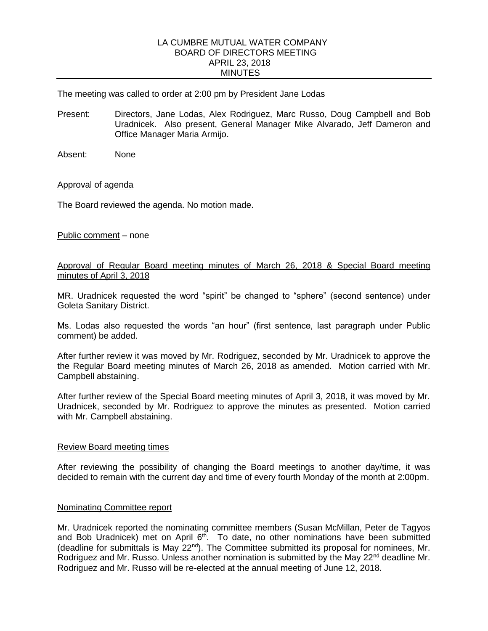### LA CUMBRE MUTUAL WATER COMPANY BOARD OF DIRECTORS MEETING APRIL 23, 2018 **MINUTES**

The meeting was called to order at 2:00 pm by President Jane Lodas

- Present: Directors, Jane Lodas, Alex Rodriguez, Marc Russo, Doug Campbell and Bob Uradnicek. Also present, General Manager Mike Alvarado, Jeff Dameron and Office Manager Maria Armijo.
- Absent: None

## Approval of agenda

The Board reviewed the agenda. No motion made.

Public comment – none

## Approval of Regular Board meeting minutes of March 26, 2018 & Special Board meeting minutes of April 3, 2018

MR. Uradnicek requested the word "spirit" be changed to "sphere" (second sentence) under Goleta Sanitary District.

Ms. Lodas also requested the words "an hour" (first sentence, last paragraph under Public comment) be added.

After further review it was moved by Mr. Rodriguez, seconded by Mr. Uradnicek to approve the the Regular Board meeting minutes of March 26, 2018 as amended. Motion carried with Mr. Campbell abstaining.

After further review of the Special Board meeting minutes of April 3, 2018, it was moved by Mr. Uradnicek, seconded by Mr. Rodriguez to approve the minutes as presented. Motion carried with Mr. Campbell abstaining.

## Review Board meeting times

After reviewing the possibility of changing the Board meetings to another day/time, it was decided to remain with the current day and time of every fourth Monday of the month at 2:00pm.

## Nominating Committee report

Mr. Uradnicek reported the nominating committee members (Susan McMillan, Peter de Tagyos and Bob Uradnicek) met on April 6<sup>th</sup>. To date, no other nominations have been submitted (deadline for submittals is May 22nd). The Committee submitted its proposal for nominees, Mr. Rodriguez and Mr. Russo. Unless another nomination is submitted by the May 22<sup>nd</sup> deadline Mr. Rodriguez and Mr. Russo will be re-elected at the annual meeting of June 12, 2018.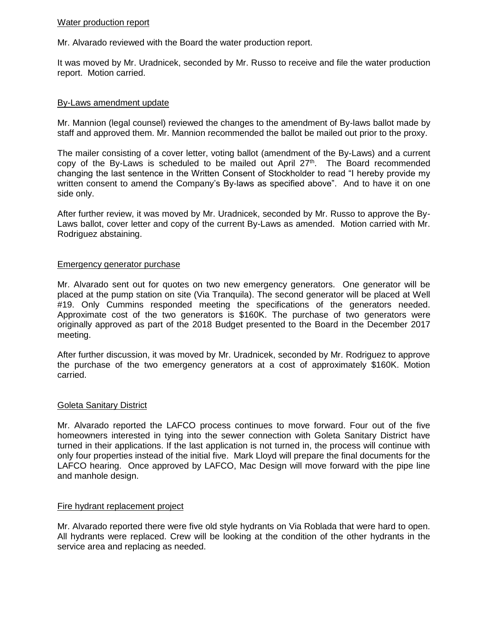# Water production report

Mr. Alvarado reviewed with the Board the water production report.

It was moved by Mr. Uradnicek, seconded by Mr. Russo to receive and file the water production report. Motion carried.

# By-Laws amendment update

Mr. Mannion (legal counsel) reviewed the changes to the amendment of By-laws ballot made by staff and approved them. Mr. Mannion recommended the ballot be mailed out prior to the proxy.

The mailer consisting of a cover letter, voting ballot (amendment of the By-Laws) and a current copy of the By-Laws is scheduled to be mailed out April  $27<sup>th</sup>$ . The Board recommended changing the last sentence in the Written Consent of Stockholder to read "I hereby provide my written consent to amend the Company's By-laws as specified above". And to have it on one side only.

After further review, it was moved by Mr. Uradnicek, seconded by Mr. Russo to approve the By-Laws ballot, cover letter and copy of the current By-Laws as amended. Motion carried with Mr. Rodriguez abstaining.

## Emergency generator purchase

Mr. Alvarado sent out for quotes on two new emergency generators. One generator will be placed at the pump station on site (Via Tranquila). The second generator will be placed at Well #19. Only Cummins responded meeting the specifications of the generators needed. Approximate cost of the two generators is \$160K. The purchase of two generators were originally approved as part of the 2018 Budget presented to the Board in the December 2017 meeting.

After further discussion, it was moved by Mr. Uradnicek, seconded by Mr. Rodriguez to approve the purchase of the two emergency generators at a cost of approximately \$160K. Motion carried.

## Goleta Sanitary District

Mr. Alvarado reported the LAFCO process continues to move forward. Four out of the five homeowners interested in tying into the sewer connection with Goleta Sanitary District have turned in their applications. If the last application is not turned in, the process will continue with only four properties instead of the initial five. Mark Lloyd will prepare the final documents for the LAFCO hearing. Once approved by LAFCO, Mac Design will move forward with the pipe line and manhole design.

## Fire hydrant replacement project

Mr. Alvarado reported there were five old style hydrants on Via Roblada that were hard to open. All hydrants were replaced. Crew will be looking at the condition of the other hydrants in the service area and replacing as needed.